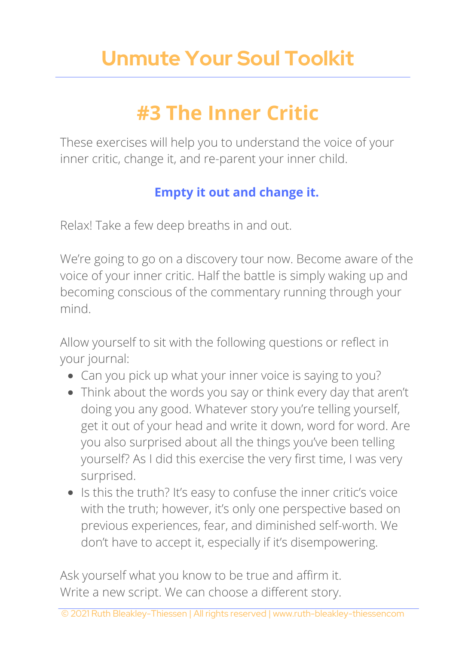## **Unmute Your Soul Toolkit**

### **#3 The Inner Critic**

These exercises will help you to understand the voice of your inner critic, change it, and re-parent your inner child.

### **Empty it out and change it.**

Relax! Take a few deep breaths in and out.

We're going to go on a discovery tour now. Become aware of the voice of your inner critic. Half the battle is simply waking up and becoming conscious of the commentary running through your mind.

Allow yourself to sit with the following questions or reflect in your journal:

- Can you pick up what your inner voice is saying to you?
- Think about the words you say or think every day that aren't doing you any good. Whatever story you're telling yourself, get it out of your head and write it down, word for word. Are you also surprised about all the things you've been telling yourself? As I did this exercise the very first time, I was very surprised.
- Is this the truth? It's easy to confuse the inner critic's voice with the truth; however, it's only one perspective based on previous experiences, fear, and diminished self-worth. We don't have to accept it, especially if it's disempowering.

Ask yourself what you know to be true and affirm it. Write a new script. We can choose a different story.